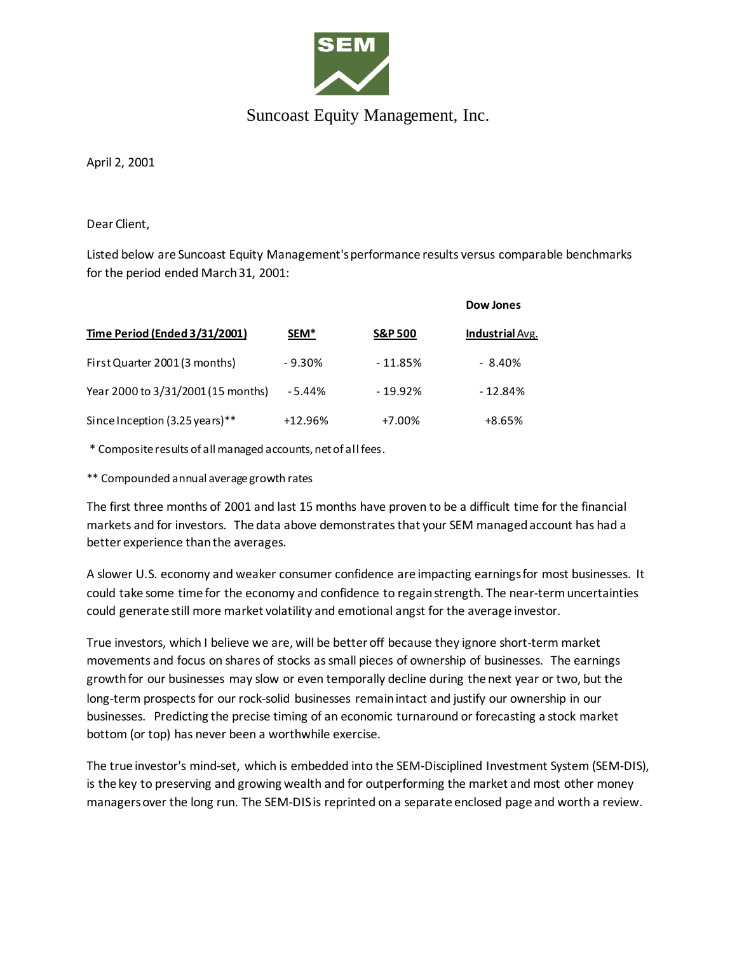

## Suncoast Equity Management, Inc.

April 2, 2001

Dear Client,

Listed below are Suncoast Equity Management's performance results versus comparable benchmarks for the period ended March 31, 2001:

|                                    |                  |                    | Dow Jones              |
|------------------------------------|------------------|--------------------|------------------------|
| Time Period (Ended 3/31/2001)      | SEM <sup>*</sup> | <b>S&amp;P 500</b> | <b>Industrial</b> Avg. |
| First Quarter 2001 (3 months)      | $-9.30\%$        | $-11.85%$          | $-8.40%$               |
| Year 2000 to 3/31/2001 (15 months) | $-5.44%$         | $-19.92%$          | $-12.84%$              |
| Since Inception (3.25 years)**     | $+12.96%$        | $+7.00\%$          | $+8.65%$               |

\* Composite results of all managed accounts, net of all fees.

\*\* Compounded annual average growth rates

The first three months of 2001 and last 15 months have proven to be a difficult time for the financial markets and for investors. The data above demonstrates that your SEM managed account has had a better experience than the averages.

A slower U.S. economy and weaker consumer confidence are impacting earnings for most businesses. It could take some time for the economy and confidence to regain strength. The near-term uncertainties could generate still more market volatility and emotional angst for the average investor.

True investors, which I believe we are, will be better off because they ignore short-term market movements and focus on shares of stocks as small pieces of ownership of businesses. The earnings growth for our businesses may slow or even temporally decline during the next year or two, but the long-term prospects for our rock-solid businesses remain intact and justify our ownership in our businesses. Predicting the precise timing of an economic turnaround or forecasting a stock market bottom (or top) has never been a worthwhile exercise.

The true investor's mind-set, which is embedded into the SEM-Disciplined Investment System (SEM-DIS), is the key to preserving and growing wealth and for outperforming the market and most other money managers over the long run. The SEM-DIS is reprinted on a separate enclosed page and worth a review.